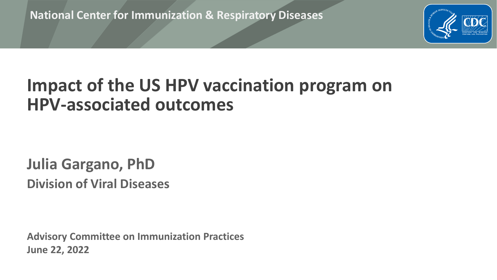**National Center for Immunization & Respiratory Diseases**



## **Impact of the US HPV vaccination program on HPV-associated outcomes**

#### **Julia Gargano, PhD Division of Viral Diseases**

**Advisory Committee on Immunization Practices June 22, 2022**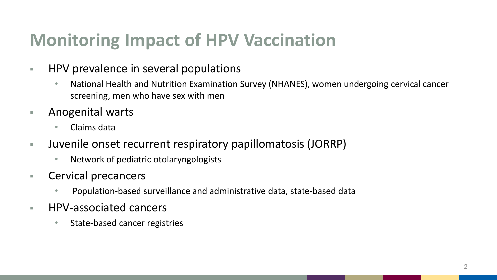# **Monitoring Impact of HPV Vaccination**

- **HPV** prevalence in several populations
	- National Health and Nutrition Examination Survey (NHANES), women undergoing cervical cancer screening, men who have sex with men
- **Anogenital warts** 
	- Claims data
- Juvenile onset recurrent respiratory papillomatosis (JORRP)
	- Network of pediatric otolaryngologists
- **EXEC** Cervical precancers
	- Population-based surveillance and administrative data, state-based data
- **HPV-associated cancers** 
	- State-based cancer registries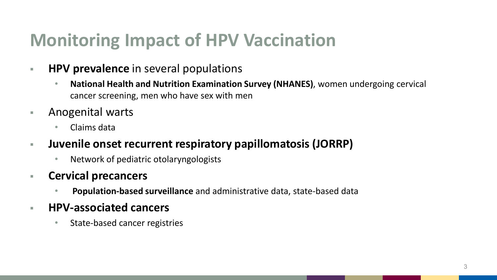# **Monitoring Impact of HPV Vaccination**

- **HPV prevalence** in several populations
	- **National Health and Nutrition Examination Survey (NHANES)**, women undergoing cervical cancer screening, men who have sex with men
- **Anogenital warts** 
	- Claims data
- **Juvenile onset recurrent respiratory papillomatosis (JORRP)**
	- Network of pediatric otolaryngologists
- **Cervical precancers**
	- **Population-based surveillance** and administrative data, state-based data
- **HPV-associated cancers**
	- State-based cancer registries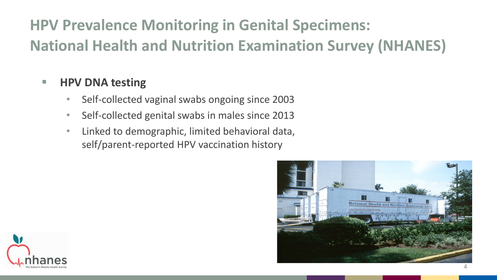## **HPV Prevalence Monitoring in Genital Specimens: National Health and Nutrition Examination Survey (NHANES)**

#### **HPV DNA testing**

- Self-collected vaginal swabs ongoing since 2003
- Self-collected genital swabs in males since 2013
- Linked to demographic, limited behavioral data, self/parent-reported HPV vaccination history



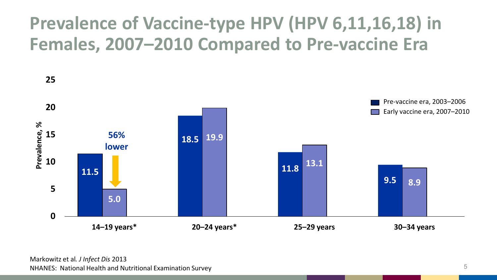# **Prevalence of Vaccine-type HPV (HPV 6,11,16,18) in Females, 2007–2010 Compared to Pre-vaccine Era**

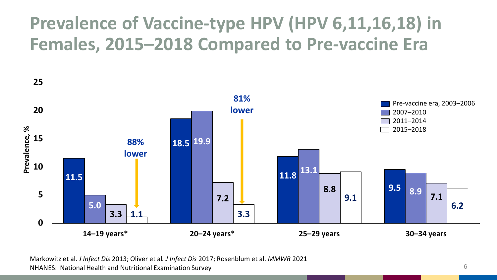# **Prevalence of Vaccine-type HPV (HPV 6,11,16,18) in Females, 2015–2018 Compared to Pre-vaccine Era**



Markowitz et al. *J Infect Dis* 2013; Oliver et al*. J Infect Dis* 2017; Rosenblum et al. *MMWR* 2021 NHANES: National Health and Nutritional Examination Survey 6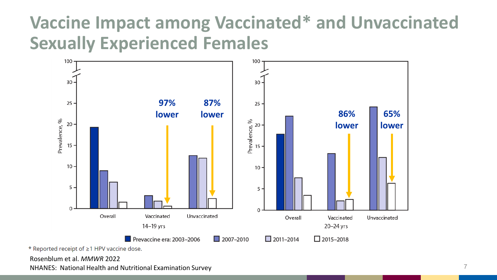# **Vaccine Impact among Vaccinated\* and Unvaccinated Sexually Experienced Females**



\* Reported receipt of ≥1 HPV vaccine dose.

Rosenblum et al. *MMWR* 2022

NHANES: National Health and Nutritional Examination Survey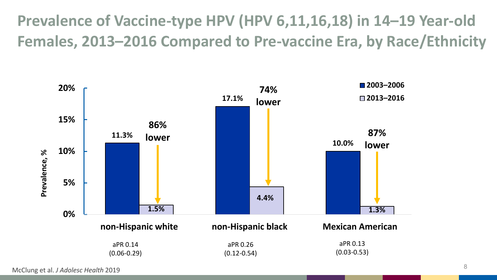**Prevalence of Vaccine-type HPV (HPV 6,11,16,18) in 14–19 Year-old Females, 2013–2016 Compared to Pre-vaccine Era, by Race/Ethnicity**

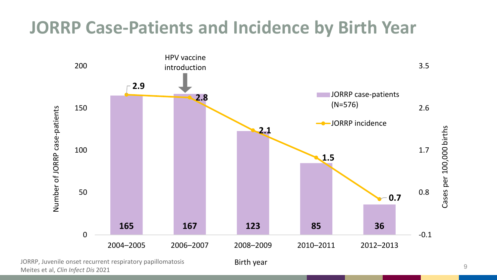### **JORRP Case-Patients and Incidence by Birth Year**



Meites et al, *Clin Infect Dis* 2021 **9** *Meites et al, Clin Infect Dis 2021* 

Birth year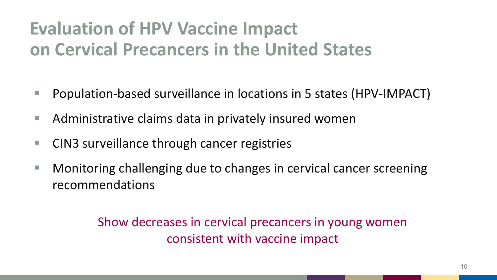# **Evaluation of HPV Vaccine Impact on Cervical Precancers in the United States**

- Population-based surveillance in locations in 5 states (HPV-IMPACT)
- Administrative claims data in privately insured women
- CIN3 surveillance through cancer registries
- Monitoring challenging due to changes in cervical cancer screening recommendations

#### Show decreases in cervical precancers in young women consistent with vaccine impact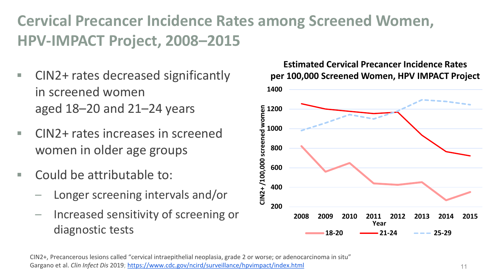### **Cervical Precancer Incidence Rates among Screened Women, HPV-IMPACT Project, 2008–2015**

- CIN2+ rates decreased significantly in screened women aged 18–20 and 21–24 years
- CIN2+ rates increases in screened women in older age groups
- $\blacksquare$  Could be attributable to:
	- Longer screening intervals and/or
	- Increased sensitivity of screening or diagnostic tests

#### **Estimated Cervical Precancer Incidence Rates per 100,000 Screened Women, HPV IMPACT Project**



CIN2+, Precancerous lesions called "cervical intraepithelial neoplasia, grade 2 or worse; or adenocarcinoma in situ"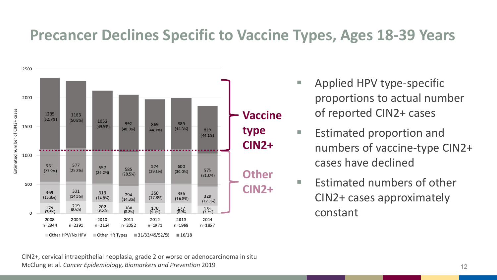#### **Precancer Declines Specific to Vaccine Types, Ages 18-39 Years**



- Applied HPV type-specific proportions to actual number of reported CIN2+ cases
- Estimated proportion and numbers of vaccine-type CIN2+ cases have declined
- $\blacksquare$  Estimated numbers of other CIN2+ cases approximately constant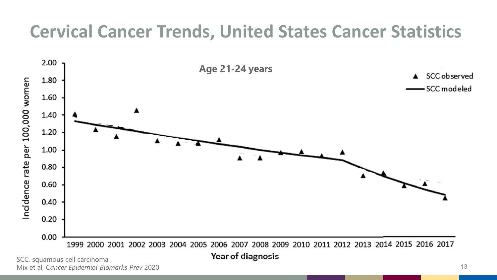# **Cervical Cancer Trends, United States Cancer Statist**i**cs**



SCC, squamous cell carcinoma Mix et al, *Cancer Epidemiol Biomarks Prev* 2020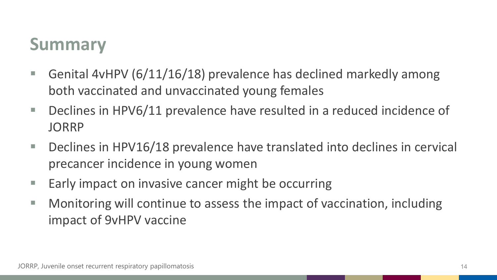## **Summary**

- Genital 4vHPV (6/11/16/18) prevalence has declined markedly among both vaccinated and unvaccinated young females
- Declines in HPV6/11 prevalence have resulted in a reduced incidence of JORRP
- Declines in HPV16/18 prevalence have translated into declines in cervical precancer incidence in young women
- $\blacksquare$  Early impact on invasive cancer might be occurring
- Monitoring will continue to assess the impact of vaccination, including impact of 9vHPV vaccine